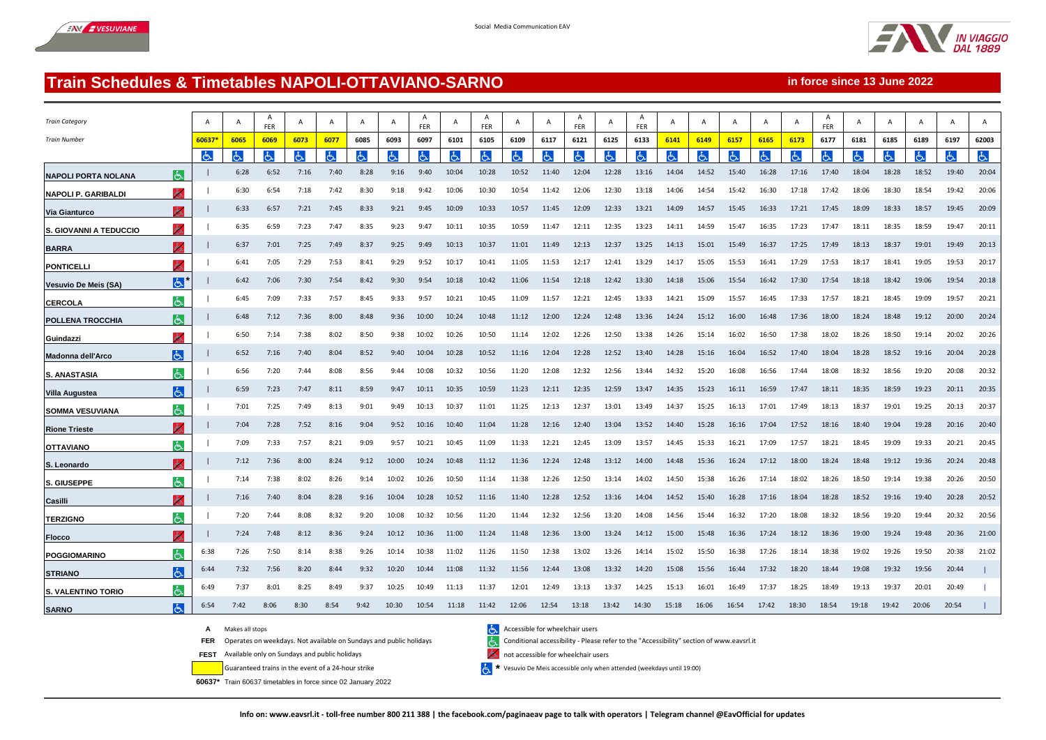



**in force since 13 June 2022**

## **Train Schedules & Timetables NAPOLI-OTTAVIANO-SARNO**

| <b>Train Category</b>      |                |       | $\overline{A}$ | A<br>FER | $\overline{A}$ |      |      | A     | A<br><b>FER</b> | A     | A<br><b>FER</b> | A     | A     | A<br><b>FER</b> |       | A<br><b>FFR</b> | A     | А     | $\overline{A}$ | A     | A     | A<br><b>FER</b> |       |       |       | A     | A     |
|----------------------------|----------------|-------|----------------|----------|----------------|------|------|-------|-----------------|-------|-----------------|-------|-------|-----------------|-------|-----------------|-------|-------|----------------|-------|-------|-----------------|-------|-------|-------|-------|-------|
| <b>Train Number</b>        |                | 60637 | 6065           | 6069     | 6073           | 6077 | 6085 | 6093  | 6097            | 6101  | 6105            | 6109  | 6117  | 6121            | 6125  | 6133            | 6141  | 6149  | 6157           | 6165  | 6173  | 6177            | 6181  | 6185  | 6189  | 6197  | 62003 |
|                            |                | よ     | Ġ.             |          | ය              |      | ය    | Ġ.    |                 | Ġ.    | ල               | Ġ.    | Ġ.    |                 | Ġ.    |                 | ය     | Ġ     | ය              | Ġ.    | ය     | ය               |       | Ġ.    | ŀБ    | Ġ.    | க்    |
| <b>NAPOLI PORTA NOLANA</b> | الحا           |       | 6:28           | 6:52     | 7:16           | 7:40 | 8:28 | 9:16  | 9:40            | 10:04 | 10:28           | 10:52 | 11:40 | 12:04           | 12:28 | 13:16           | 14:04 | 14:52 | 15:40          | 16:28 | 17:16 | 17:40           | 18:04 | 18:28 | 18:52 | 19:40 | 20:04 |
| <b>NAPOLI P. GARIBALDI</b> | ሔ              |       | 6:30           | 6:54     | 7:18           | 7:42 | 8:30 | 9:18  | 9:42            | 10:06 | 10:30           | 10:54 | 11:42 | 12:06           | 12:30 | 13:18           | 14:06 | 14:54 | 15:42          | 16:30 | 17:18 | 17:42           | 18:06 | 18:30 | 18:54 | 19:42 | 20:06 |
| <b>Via Gianturco</b>       | ж              |       | 6:33           | 6:57     | 7:21           | 7:45 | 8:33 | 9:21  | 9:45            | 10:09 | 10:33           | 10:57 | 11:45 | 12:09           | 12:33 | 13:21           | 14:09 | 14:57 | 15:45          | 16:33 | 17:21 | 17:45           | 18:09 | 18:33 | 18:57 | 19:45 | 20:09 |
| S. GIOVANNI A TEDUCCIO     | ሔ              |       | 6:35           | 6:59     | 7:23           | 7:47 | 8:35 | 9:23  | 9:47            | 10:11 | 10:35           | 10:59 | 11:47 | 12:11           | 12:35 | 13:23           | 14:11 | 14:59 | 15:47          | 16:35 | 17:23 | 17:47           | 18:11 | 18:35 | 18:59 | 19:47 | 20:11 |
| <b>BARRA</b>               | Ж              |       | 6:37           | 7:01     | 7:25           | 7:49 | 8:37 | 9:25  | 9:49            | 10:13 | 10:37           | 11:01 | 11:49 | 12:13           | 12:37 | 13:25           | 14:13 | 15:01 | 15:49          | 16:37 | 17:25 | 17:49           | 18:13 | 18:37 | 19:01 | 19:49 | 20:13 |
| <b>PONTICELL</b>           | ሔ              |       | 6:41           | 7:05     | 7:29           | 7:53 | 8:41 | 9:29  | 9:52            | 10:17 | 10:41           | 11:05 | 11:53 | 12:17           | 12:41 | 13:29           | 14:17 | 15:05 | 15:53          | 16:41 | 17:29 | 17:53           | 18:17 | 18:41 | 19:05 | 19:53 | 20:17 |
| Vesuvio De Meis (SA)       | E              |       | 6:42           | 7:06     | 7:30           | 7:54 | 8:42 | 9:30  | 9:54            | 10:18 | 10:42           | 11:06 | 11:54 | 12:18           | 12:42 | 13:30           | 14:18 | 15:06 | 15:54          | 16:42 | 17:30 | 17:54           | 18:18 | 18:42 | 19:06 | 19:54 | 20:18 |
| <b>CERCOLA</b>             | よ              |       | 6:45           | 7:09     | 7:33           | 7:57 | 8:45 | 9:33  | 9:57            | 10:21 | 10:45           | 11:09 | 11:57 | 12:21           | 12:45 | 13:33           | 14:21 | 15:09 | 15:57          | 16:45 | 17:33 | 17:57           | 18:21 | 18:45 | 19:09 | 19:57 | 20:21 |
| <b>POLLENA TROCCHIA</b>    | الحا           |       | 6:48           | 7:12     | 7:36           | 8:00 | 8:48 | 9:36  | 10:00           | 10:24 | 10:48           | 11:12 | 12:00 | 12:24           | 12:48 | 13:36           | 14:24 | 15:12 | 16:00          | 16:48 | 17:36 | 18:00           | 18:24 | 18:48 | 19:12 | 20:00 | 20:24 |
| Guindazzi                  | Ж              |       | 6:50           | 7:14     | 7:38           | 8:02 | 8:50 | 9:38  | 10:02           | 10:26 | 10:50           | 11:14 | 12:02 | 12:26           | 12:50 | 13:38           | 14:26 | 15:14 | 16:02          | 16:50 | 17:38 | 18:02           | 18:26 | 18:50 | 19:14 | 20:02 | 20:26 |
| Madonna dell'Arco          | الحا           |       | 6:52           | 7:16     | 7:40           | 8:04 | 8:52 | 9:40  | 10:04           | 10:28 | 10:52           | 11:16 | 12:04 | 12:28           | 12:52 | 13:40           | 14:28 | 15:16 | 16:04          | 16:52 | 17:40 | 18:04           | 18:28 | 18:52 | 19:16 | 20:04 | 20:28 |
| <b>S. ANASTASIA</b>        | l&l            |       | 6:56           | 7:20     | 7:44           | 8:08 | 8:56 | 9:44  | 10:08           | 10:32 | 10:56           | 11:20 | 12:08 | 12:32           | 12:56 | 13:44           | 14:32 | 15:20 | 16:08          | 16:56 | 17:44 | 18:08           | 18:32 | 18:56 | 19:20 | 20:08 | 20:32 |
| <b>Villa Augustea</b>      | الحا           |       | 6:59           | 7:23     | 7:47           | 8:11 | 8:59 | 9:47  | 10:11           | 10:35 | 10:59           | 11:23 | 12:11 | 12:35           | 12:59 | 13:47           | 14:35 | 15:23 | 16:11          | 16:59 | 17:47 | 18:11           | 18:35 | 18:59 | 19:23 | 20:11 | 20:35 |
| <b>SOMMA VESUVIANA</b>     | $\epsilon$     |       | 7:01           | 7:25     | 7:49           | 8:13 | 9:01 | 9:49  | 10:13           | 10:37 | 11:01           | 11:25 | 12:13 | 12:37           | 13:01 | 13:49           | 14:37 | 15:25 | 16:13          | 17:01 | 17:49 | 18:13           | 18:37 | 19:01 | 19:25 | 20:13 | 20:37 |
| <b>Rione Trieste</b>       | ሔ              |       | 7:04           | 7:28     | 7:52           | 8:16 | 9:04 | 9:52  | 10:16           | 10:40 | 11:04           | 11:28 | 12:16 | 12:40           | 13:04 | 13:52           | 14:40 | 15:28 | 16:16          | 17:04 | 17:52 | 18:16           | 18:40 | 19:04 | 19:28 | 20:16 | 20:40 |
| <b>OTTAVIANO</b>           | 山              |       | 7:09           | 7:33     | 7:57           | 8:21 | 9:09 | 9:57  | 10:21           | 10:45 | 11:09           | 11:33 | 12:21 | 12:45           | 13:09 | 13:57           | 14:45 | 15:33 | 16:21          | 17:09 | 17:57 | 18:21           | 18:45 | 19:09 | 19:33 | 20:21 | 20:45 |
| S. Leonardo                | ょ              |       | 7:12           | 7:36     | 8:00           | 8:24 | 9:12 | 10:00 | 10:24           | 10:48 | 11:12           | 11:36 | 12:24 | 12:48           | 13:12 | 14:00           | 14:48 | 15:36 | 16:24          | 17:12 | 18:00 | 18:24           | 18:48 | 19:12 | 19:36 | 20:24 | 20:48 |
| S. GIUSEPPE                | اځ.            |       | 7:14           | 7:38     | 8:02           | 8:26 | 9:14 | 10:02 | 10:26           | 10:50 | 11:14           | 11:38 | 12:26 | 12:50           | 13:14 | 14:02           | 14:50 | 15:38 | 16:26          | 17:14 | 18:02 | 18:26           | 18:50 | 19:14 | 19:38 | 20:26 | 20:50 |
| Casilli                    | 人              |       | 7:16           | 7:40     | 8:04           | 8:28 | 9:16 | 10:04 | 10:28           | 10:52 | 11:16           | 11:40 | 12:28 | 12:52           | 13:16 | 14:04           | 14:52 | 15:40 | 16:28          | 17:16 | 18:04 | 18:28           | 18:52 | 19:16 | 19:40 | 20:28 | 20:52 |
| <b>TERZIGNO</b>            | الحا           |       | 7:20           | 7:44     | 8:08           | 8:32 | 9:20 | 10:08 | 10:32           | 10:56 | 11:20           | 11:44 | 12:32 | 12:56           | 13:20 | 14:08           | 14:56 | 15:44 | 16:32          | 17:20 | 18:08 | 18:32           | 18:56 | 19:20 | 19:44 | 20:32 | 20:56 |
| <b>Flocco</b>              |                |       | 7:24           | 7:48     | 8:12           | 8:36 | 9:24 | 10:12 | 10:36           | 11:00 | 11:24           | 11:48 | 12:36 | 13:00           | 13:24 | 14:12           | 15:00 | 15:48 | 16:36          | 17:24 | 18:12 | 18:36           | 19:00 | 19:24 | 19:48 | 20:36 | 21:00 |
| <b>POGGIOMARINO</b>        | と              | 6:38  | 7:26           | 7:50     | 8:14           | 8:38 | 9:26 | 10:14 | 10:38           | 11:02 | 11:26           | 11:50 | 12:38 | 13:02           | 13:26 | 14:14           | 15:02 | 15:50 | 16:38          | 17:26 | 18:14 | 18:38           | 19:02 | 19:26 | 19:50 | 20:38 | 21:02 |
| <b>STRIANO</b>             | الحا           | 6:44  | 7:32           | 7:56     | 8:20           | 8:44 | 9:32 | 10:20 | 10:44           | 11:08 | 11:32           | 11:56 | 12:44 | 13:08           | 13:32 | 14:20           | 15:08 | 15:56 | 16:44          | 17:32 | 18:20 | 18:44           | 19:08 | 19:32 | 19:56 | 20:44 |       |
| S. VALENTINO TORIO         | と              | 6:49  | 7:37           | 8:01     | 8:25           | 8:49 | 9:37 | 10:25 | 10:49           | 11:13 | 11:37           | 12:01 | 12:49 | 13:13           | 13:37 | 14:25           | 15:13 | 16:01 | 16:49          | 17:37 | 18:25 | 18:49           | 19:13 | 19:37 | 20:01 | 20:49 |       |
| <b>SARNO</b>               | $\overline{d}$ | 6:54  | 7:42           | 8:06     | 8:30           | 8:54 | 9:42 | 10:30 | 10:54           | 11:18 | 11:42           | 12:06 | 12:54 | 13:18           | 13:42 | 14:30           | 15:18 | 16:06 | 16:54          | 17:42 | 18:30 | 18:54           | 19:18 | 19:42 | 20:06 | 20:54 |       |

A Makes all stops<br>**FER** Operates on weekdays. Not available on Sundays and public holidays<br>Conditional accessibility - Please و Conditional accessibility - Please

**FEST** Available only on Sundays and public holidays **Available for wheelchair users** and public holidays

Guaranteed trains in the event of a 24-hour strike **\***

**60637\*** Train 60637 timetables in force since 02 January 2022

**FER** Operates on weekdays. Not available on Sundays and public holidays Conditional accessibility - Please refer to the "Accessibility" section of www.eavsrl.it

 $\left\langle \xi \right\rangle$  \* Vesuvio De Meis accessible only when attended (weekdays until 19:00)